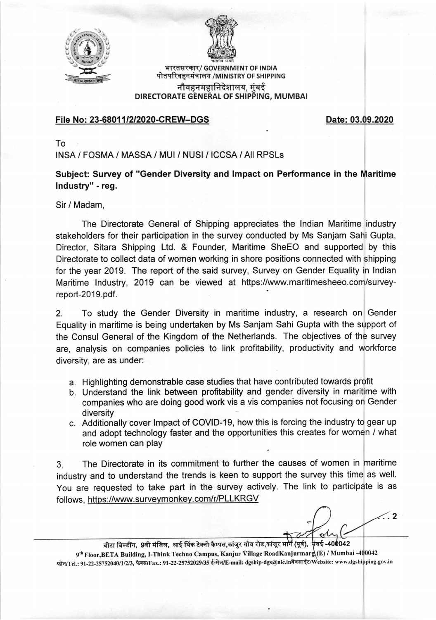



भारतसरकार/ GOVERNMENT OF INDIA पोतपरिवहनमंत्रालय /MINISTRY OF SHIPPING नौवहनमहानिदेशालय. मंबई DIRECTORATE GENERAL OF SHIPPING, MUMBAI

## File No: 23-68011/2/2020-CREW-DGS Date: 03.09.2020

To

INSA / FOSMA / MASSA / MUI / NUSI / ICCSA / All RPSLs

Subject: Survey of "Gender Diversity and lmpact on Performance in the Maritime lndustry" - reg.

Sir / Madam,

The Directorate General of Shipping appreciates the lndian Maritime industry stakeholders for their participation in the survey conducted by Ms Sanjam Sahi Gupta, Director, Sitara Shipping Ltd, & Founder, Maritime SheEO and supported by this Directorate to collect data of women working in shore positions connected with shipping for the year 2019. The report of the said survey, Survey on Gender Equality in Indian Maritime lndustry, 2019 can be viewed at https://www.maritimesheeo.com/surveyreport-2019.pdf.

2. To study the Gender Diversity in maritime industry, a research on Gender Equality in maritime is being undertaken by Ms Sanjam Sahi Gupta with the support of the Consul General of the Kingdom of the Netherlands. The objectives of the survey are, analysis on companies policies to link profitability, productivity and workforce diversity, are as under:

- a. Highlighting demonstrable case studies that have contributed towards profit
- b. Understand the link between profitability and gender diversity in maritime with companies who are doing good work vis a vis companies not focusing on Gender diversity
- c. Additionally cover lmpact of COVID-19, how this is forcing the industry to gear up and adopt technology faster and the opportunities this creates for women / what role women can play

3. The Directorate in its commitment to further the causes of women in maritime industry and to understand the trends is keen to support the survey this time as well. You are requested to take part in the survey actively. The link to participate is as follows, https://www.surveymonkey.com/r/PLLKRGV

 $\mathcal{L}.2$ 

बीटा बिल्डींग, 9वी मंजिल, आई थिंक टेक्नो कैम्पस,कांजुर गौव रोड,कांजूर मार्ग (पूर्व), मंबई-400042 9<sup>th</sup> Floor, BETA Building, I-Think Techno Campus, Kanjur Village RoadKanjurmarg(E) / Mumbai -400042 फोन/Tel.: 91-22-25752040/1/2/3, फैक्स/Fax.: 91-22-25752029/35 ई-मेल/E-mail: dgship-dgs@nic.inवेबसाईट/Website: www.dgshipping.gov.in